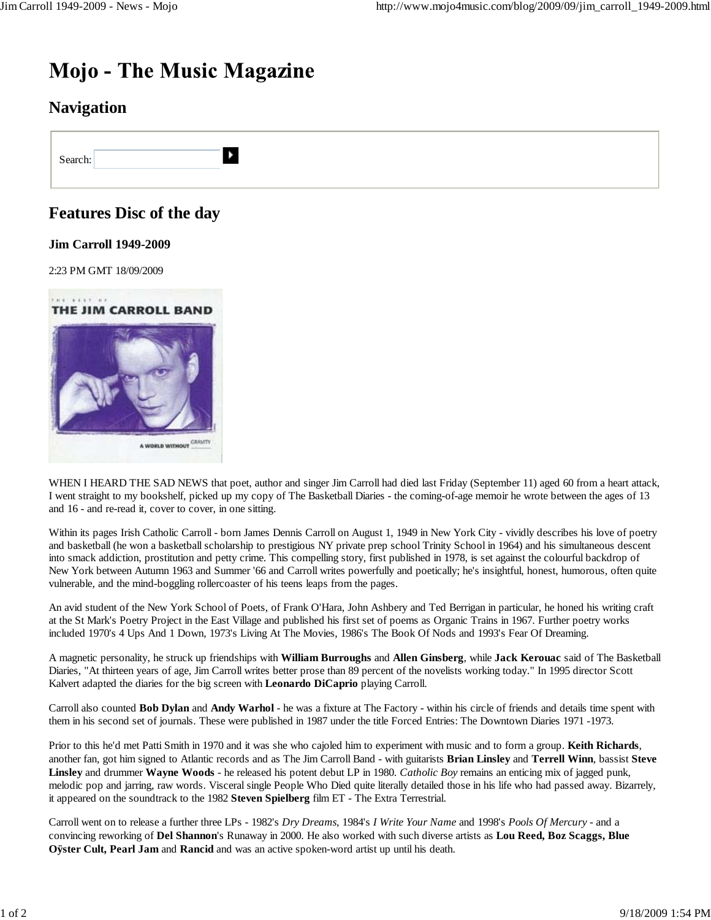# **Mojo - The Music Magazine**

 $\blacktriangleright$ 

## **Navigation**

Search:

## **Features Disc of the day**

#### **Jim Carroll 1949-2009**

2:23 PM GMT 18/09/2009



WHEN I HEARD THE SAD NEWS that poet, author and singer Jim Carroll had died last Friday (September 11) aged 60 from a heart attack, I went straight to my bookshelf, picked up my copy of The Basketball Diaries - the coming-of-age memoir he wrote between the ages of 13 and 16 - and re-read it, cover to cover, in one sitting.

Within its pages Irish Catholic Carroll - born James Dennis Carroll on August 1, 1949 in New York City - vividly describes his love of poetry and basketball (he won a basketball scholarship to prestigious NY private prep school Trinity School in 1964) and his simultaneous descent into smack addiction, prostitution and petty crime. This compelling story, first published in 1978, is set against the colourful backdrop of New York between Autumn 1963 and Summer '66 and Carroll writes powerfully and poetically; he's insightful, honest, humorous, often quite vulnerable, and the mind-boggling rollercoaster of his teens leaps from the pages.

An avid student of the New York School of Poets, of Frank O'Hara, John Ashbery and Ted Berrigan in particular, he honed his writing craft at the St Mark's Poetry Project in the East Village and published his first set of poems as Organic Trains in 1967. Further poetry works included 1970's 4 Ups And 1 Down, 1973's Living At The Movies, 1986's The Book Of Nods and 1993's Fear Of Dreaming.

A magnetic personality, he struck up friendships with **William Burroughs** and **Allen Ginsberg**, while **Jack Kerouac** said of The Basketball Diaries, "At thirteen years of age, Jim Carroll writes better prose than 89 percent of the novelists working today." In 1995 director Scott Kalvert adapted the diaries for the big screen with **Leonardo DiCaprio** playing Carroll.

Carroll also counted **Bob Dylan** and **Andy Warhol** - he was a fixture at The Factory - within his circle of friends and details time spent with them in his second set of journals. These were published in 1987 under the title Forced Entries: The Downtown Diaries 1971 -1973.

Prior to this he'd met Patti Smith in 1970 and it was she who cajoled him to experiment with music and to form a group. **Keith Richards**, another fan, got him signed to Atlantic records and as The Jim Carroll Band - with guitarists **Brian Linsley** and **Terrell Winn**, bassist **Steve Linsley** and drummer **Wayne Woods** - he released his potent debut LP in 1980. *Catholic Boy* remains an enticing mix of jagged punk, melodic pop and jarring, raw words. Visceral single People Who Died quite literally detailed those in his life who had passed away. Bizarrely, it appeared on the soundtrack to the 1982 **Steven Spielberg** film ET - The Extra Terrestrial.

Carroll went on to release a further three LPs - 1982's *Dry Dreams*, 1984's *I Write Your Name* and 1998's *Pools Of Mercury* - and a convincing reworking of **Del Shannon**'s Runaway in 2000. He also worked with such diverse artists as **Lou Reed, Boz Scaggs, Blue Oÿster Cult, Pearl Jam** and **Rancid** and was an active spoken-word artist up until his death.